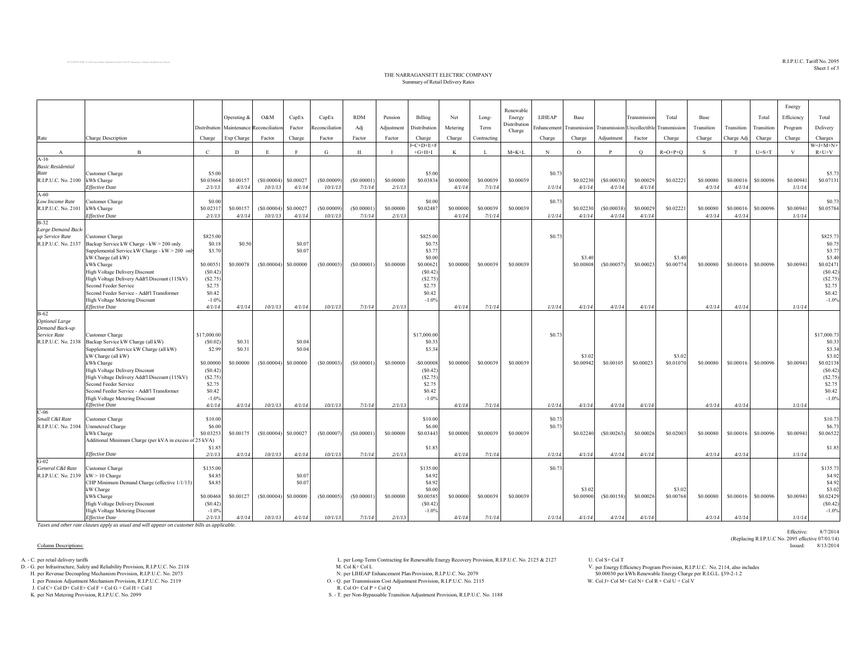$\mathrm{R.I.P. U.C.}$  Tariff  $\mathrm{No.}$   $2095$ Sheet 1 of 3

Effective: 8/7/2014

(Replacing R.I.P.U.C No. 2095 effective 07/01/14)

## THE NARRAGANSETT ELECTRIC COMPANY Summary of Retail Delivery Rates

|                                                   |                                                                |                    | Operating &                | O&M        | CapEx                  | CapEx          | <b>RDM</b> | Pension    | Billing           | Net       | Long-       | Renewable<br>Energy<br>Distribution | LIHEAP      | Base                                                 |            | Transmission | Total               | Base       |            | Total       | Energy<br>Efficiency | Total               |
|---------------------------------------------------|----------------------------------------------------------------|--------------------|----------------------------|------------|------------------------|----------------|------------|------------|-------------------|-----------|-------------|-------------------------------------|-------------|------------------------------------------------------|------------|--------------|---------------------|------------|------------|-------------|----------------------|---------------------|
|                                                   |                                                                | Distribution       | Maintenance Reconciliation |            | Factor                 | Reconciliation | Adj        | Adjustment | Distribution      | Metering  | Term        | Charge                              | Enhancement | Transmission Transmission Uncollectible Transmission |            |              |                     | Transition | Transition | Transition  | Program              | Delivery            |
| Rate                                              | Charge Description                                             | Charge             | Exp Charge                 | Factor     | Charge                 | Factor         | Factor     | Factor     | Charge            | Charge    | Contracting |                                     | Charge      | Charge                                               | Adjustment | Factor       | Charge              | Charge     | Charge Adj | Charge      | Charge               | Charges             |
|                                                   |                                                                |                    |                            |            |                        |                |            |            | $=C+D+E+F$        |           |             |                                     |             |                                                      |            |              |                     |            |            |             |                      | $W = J + M + N +$   |
| $\mathbf{A}$<br>$A-16$                            | $\overline{B}$                                                 | $\mathbf{C}$       | D                          | E          | F                      | G              | H          |            | $+G+H+I$          | K         | L           | $M = K + L$                         | N           | $\circ$                                              | P          | $\circ$      | $R=O+P+O$           | S.         | T          | $U = S + T$ | V                    | $R+U+V$             |
| <b>Basic Residential</b>                          |                                                                |                    |                            |            |                        |                |            |            |                   |           |             |                                     |             |                                                      |            |              |                     |            |            |             |                      |                     |
| Rate                                              | Customer Charge                                                | \$5.00             |                            |            |                        |                |            |            | \$5.00            |           |             |                                     | \$0.73      |                                                      |            |              |                     |            |            |             |                      | \$5.73              |
| R.I.P.U.C. No. 2100 kWh Charge                    |                                                                | \$0.03664          | \$0.00157                  | (S0.00004) | \$0.00027              | (\$0.00009     | (S0.00001) | \$0,00000  | \$0.03834         | \$0.00000 | \$0.00039   | \$0.00039                           |             | \$0.02230                                            | (S0.00038) | \$0.00029    | \$0.02221           | \$0.00080  | \$0.00016  | \$0,00096   | \$0.00941            | \$0.07131           |
|                                                   | <b>Effective Date</b>                                          | 2/1/13             | 4/1/14                     | 10/1/13    | 4/1/14                 | 10/1/13        | 7/1/14     | 2/1/13     |                   | 4/1/14    | 7/1/14      |                                     | 1/1/14      | 4/1/14                                               | 4/1/14     | 4/1/14       |                     | 4/1/14     | 4/1/14     |             | 1/1/14               |                     |
| $A-60$                                            |                                                                |                    |                            |            |                        |                |            |            |                   |           |             |                                     |             |                                                      |            |              |                     |            |            |             |                      |                     |
| Low Income Rate                                   | <b>Customer Charge</b>                                         | \$0.00             |                            |            |                        |                |            |            | \$0.00            |           |             |                                     | \$0.73      |                                                      |            |              |                     |            |            |             |                      | \$0.73              |
| R.I.P.U.C. No. 2101                               | kWh Charge                                                     | \$0.02317          | \$0.00157                  | (S0.00004) | \$0.00027              | (\$0.00009     | (S0.00001) | \$0.00000  | \$0.02487         | \$0,00000 | \$0.00039   | \$0.00039                           |             | \$0.02230                                            | (S0.00038) | \$0.00029    | \$0.02221           | \$0.00080  | \$0.00016  | \$0.00096   | \$0.00941            | \$0.05784           |
|                                                   | <b>Effective Date</b>                                          | 2/1/13             | 4/1/14                     | 10/1/13    | 4/1/14                 | 10/1/13        | 7/1/14     | 2/1/13     |                   | 4/1/14    | 7/1/14      |                                     | 1/1/14      | 4/1/14                                               | 4/1/14     | 4/1/14       |                     | 4/1/14     | 4/1/14     |             | 1/1/14               |                     |
| $B-32$                                            |                                                                |                    |                            |            |                        |                |            |            |                   |           |             |                                     |             |                                                      |            |              |                     |            |            |             |                      |                     |
| Large Demand Back-<br>up Service Rate             |                                                                |                    |                            |            |                        |                |            |            |                   |           |             |                                     |             |                                                      |            |              |                     |            |            |             |                      | \$825.73            |
| R.I.P.U.C. No. 2137                               | Customer Charge<br>Backup Service kW Charge - kW > 200 only    | \$825.00<br>\$0.18 | \$0.50                     |            | \$0.07                 |                |            |            | \$825.00<br>\$0.7 |           |             |                                     | \$0.73      |                                                      |            |              |                     |            |            |             |                      | \$0.75              |
|                                                   | Supplemental Service kW Charge - kW > 200 only                 | \$3.70             |                            |            | \$0.07                 |                |            |            | \$3.7             |           |             |                                     |             |                                                      |            |              |                     |            |            |             |                      | \$3.77              |
|                                                   | kW Charge (all kW)                                             |                    |                            |            |                        |                |            |            | \$0.00            |           |             |                                     |             | \$3.40                                               |            |              | \$3.40              |            |            |             |                      | \$3.40              |
|                                                   | kWh Charge                                                     | \$0.00551          | \$0.00078                  | (S0.00004) | \$0,00000              | (S0.00003)     | (S0.00001) | \$0,00000  | \$0.0062          | \$0,00000 | \$0.00039   | \$0,00039                           |             | \$0.00808                                            | (S0.00057) | \$0.00023    | \$0.00774           | \$0,00080  | \$0,00016  | \$0,00096   | \$0,00941            | \$0.02471           |
|                                                   | High Voltage Delivery Discount                                 | (S0.42)            |                            |            |                        |                |            |            | (S0.42)           |           |             |                                     |             |                                                      |            |              |                     |            |            |             |                      | (S0.42)             |
|                                                   | High Voltage Delivery Addt'l Discount (115kV)                  | (S2.75)            |                            |            |                        |                |            |            | (S2.75)           |           |             |                                     |             |                                                      |            |              |                     |            |            |             |                      | (S2.75)             |
|                                                   | Second Feeder Service                                          | \$2.75             |                            |            |                        |                |            |            | \$2.75            |           |             |                                     |             |                                                      |            |              |                     |            |            |             |                      | \$2.75              |
|                                                   | Second Feeder Service - Addt'l Transformer                     | \$0.42             |                            |            |                        |                |            |            | \$0.42            |           |             |                                     |             |                                                      |            |              |                     |            |            |             |                      | \$0.42              |
|                                                   | High Voltage Metering Discount                                 | $-1.0%$            |                            |            |                        |                |            |            | $-1.0%$           |           |             |                                     |             |                                                      |            |              |                     |            |            |             |                      | $-1.0%$             |
|                                                   | <b>Effective Date</b>                                          | 4/1/14             | 4/1/14                     | 10/1/13    | 4/1/14                 | 10/1/13        | 7/1/14     | 2/1/13     |                   | 4/1/14    | 7/1/14      |                                     | 1/1/14      | 4/1/14                                               | 4/1/14     | 4/1/14       |                     | 4/1/14     | 4/1/14     |             | 1/1/14               |                     |
| $B-62$<br><b>Optional Large</b><br>Demand Back-up |                                                                |                    |                            |            |                        |                |            |            |                   |           |             |                                     |             |                                                      |            |              |                     |            |            |             |                      |                     |
| Service Rate                                      | Customer Charge                                                | \$17,000.00        |                            |            |                        |                |            |            | \$17,000.00       |           |             |                                     | \$0.73      |                                                      |            |              |                     |            |            |             |                      | \$17,000.73         |
| R.I.P.U.C. No. 2138                               | Backup Service kW Charge (all kW)                              | (S0.02)            | \$0.31                     |            | \$0.04                 |                |            |            | \$0.33            |           |             |                                     |             |                                                      |            |              |                     |            |            |             |                      | \$0.33              |
|                                                   | Supplemental Service kW Charge (all kW)                        | \$2.99             | \$0.31                     |            | \$0.04                 |                |            |            | \$3.34            |           |             |                                     |             |                                                      |            |              |                     |            |            |             |                      | \$3.34              |
|                                                   | kW Charge (all kW)                                             |                    |                            |            |                        |                |            |            |                   |           |             |                                     |             | \$3.02                                               |            |              | \$3.02              |            |            |             |                      | \$3.02              |
|                                                   | kWh Charge                                                     | \$0.00000          | \$0.00000                  | (S0.00004) | \$0,00000              | (S0.00003)     | (S0.00001) | \$0,00000  | $-50.00008$       | \$0,00000 | \$0,00039   | \$0.00039                           |             | \$0.00942                                            | \$0.00105  | \$0.00023    | \$0.01070           | \$0,00080  | \$0,00016  | \$0,00096   | \$0,00941            | \$0.02138           |
|                                                   | High Voltage Delivery Discount                                 | (S0.42)            |                            |            |                        |                |            |            | (S0.42)           |           |             |                                     |             |                                                      |            |              |                     |            |            |             |                      | (S0.42)             |
|                                                   | High Voltage Delivery Addt'l Discount (115kV)                  | (S2.75)            |                            |            |                        |                |            |            | (S2.75)           |           |             |                                     |             |                                                      |            |              |                     |            |            |             |                      | (S2.75)             |
|                                                   | Second Feeder Service                                          | \$2.75             |                            |            |                        |                |            |            | \$2.75            |           |             |                                     |             |                                                      |            |              |                     |            |            |             |                      | \$2.75              |
|                                                   | Second Feeder Service - Addt'l Transformer                     | \$0.42<br>$-1.0%$  |                            |            |                        |                |            |            | \$0.42<br>$-1.0%$ |           |             |                                     |             |                                                      |            |              |                     |            |            |             |                      | \$0.42<br>$-1.0%$   |
|                                                   | <b>High Voltage Metering Discount</b><br><b>Effective Date</b> | 4/1/14             | 4/1/14                     | 10/1/13    | 4/1/14                 | 10/1/13        | 7/1/14     | 2/1/13     |                   | 4/1/14    | 7/1/14      |                                     | 1/1/14      | 4/1/14                                               | 4/1/14     | 4/1/14       |                     | 4/1/14     | 4/1/14     |             | 1/1/14               |                     |
| $C-06$                                            |                                                                |                    |                            |            |                        |                |            |            |                   |           |             |                                     |             |                                                      |            |              |                     |            |            |             |                      |                     |
| Small C&I Rate                                    | Customer Charge                                                | \$10.00            |                            |            |                        |                |            |            | \$10.00           |           |             |                                     | \$0.73      |                                                      |            |              |                     |            |            |             |                      | \$10.73             |
| R.I.P.U.C. No. 2104                               | Unmetered Charge                                               | \$6.00             |                            |            |                        |                |            |            | \$6.00            |           |             |                                     | \$0.73      |                                                      |            |              |                     |            |            |             |                      | \$6.73              |
|                                                   | kWh Charge                                                     | \$0.03253          | \$0.00175                  |            | $(S0.00004)$ \$0.00027 | (S0.00007)     | (S0.00001) | \$0,00000  | \$0.03443         | \$0,00000 | \$0.00039   | \$0,00039                           |             | \$0.02240                                            | (S0.00263) | \$0.00026    | \$0.02003           | \$0,00080  | \$0.00016  | \$0,00096   | \$0,00941            | \$0.06522           |
|                                                   | Additional Minimum Charge (per kVA in excess of 25 kVA)        |                    |                            |            |                        |                |            |            |                   |           |             |                                     |             |                                                      |            |              |                     |            |            |             |                      |                     |
|                                                   |                                                                | \$1.85             |                            |            |                        |                |            |            | \$1.85            |           |             |                                     |             |                                                      |            |              |                     |            |            |             |                      | \$1.85              |
|                                                   | <b>Effective Date</b>                                          | 2/1/13             | 4/1/14                     | 10/1/13    | 4/1/14                 | 10/1/13        | 7/1/14     | 2/1/13     |                   | 4/1/14    | 7/1/14      |                                     | 1/1/14      | 4/1/14                                               | 4/1/14     | 4/1/14       |                     | 4/1/14     | 4/1/14     |             | 1/1/14               |                     |
| $G-02$                                            |                                                                |                    |                            |            |                        |                |            |            |                   |           |             |                                     |             |                                                      |            |              |                     |            |            |             |                      |                     |
| General C&I Rate                                  | Customer Charge                                                | \$135.00           |                            |            |                        |                |            |            | \$135.00          |           |             |                                     | \$0.73      |                                                      |            |              |                     |            |            |             |                      | \$135.73            |
| R.I.P.U.C. No. 2139                               | $kW > 10$ Charge                                               | \$4.85             |                            |            | \$0.07                 |                |            |            | \$4.92            |           |             |                                     |             |                                                      |            |              |                     |            |            |             |                      | \$4.92              |
|                                                   | CHP Minimum Demand Charge (effective 1/1/13)                   | \$4.85             |                            |            | \$0.07                 |                |            |            | \$4.92<br>\$0.00  |           |             |                                     |             |                                                      |            |              |                     |            |            |             |                      | \$4.92              |
|                                                   | kW Charge<br>kWh Charge                                        | \$0.00468          | \$0.00127                  | (S0.00004) | \$0.00000              | (S0.00005)     | (S0.00001) | \$0,00000  | \$0.00585         | \$0,00000 | \$0.00039   | \$0.00039                           |             | \$3.02<br>\$0.00900                                  | (S0.00158) | \$0.00026    | \$3.02<br>\$0.00768 | \$0.00080  | \$0.00016  | \$0,00096   | \$0,00941            | \$3.02<br>\$0.02429 |
|                                                   | High Voltage Delivery Discount                                 | (S0.42)            |                            |            |                        |                |            |            | (S0.42)           |           |             |                                     |             |                                                      |            |              |                     |            |            |             |                      | (S0.42)             |
|                                                   | High Voltage Metering Discount                                 | $-1.0%$            |                            |            |                        |                |            |            | $-1.0%$           |           |             |                                     |             |                                                      |            |              |                     |            |            |             |                      | $-1.0%$             |
|                                                   | <b>Effective Date</b>                                          | 2/1/13             | 4/1/14                     | 10/1/13    | 4/1/14                 | 10/1/13        | 7/1/14     | 2/1/13     |                   | 4/1/14    | 7/1/14      |                                     | 1/1/14      | 4/1/14                                               | 4/1/14     | 4/1/14       |                     | 4/1/14     | 4/1/14     |             | 1/1/14               |                     |
|                                                   |                                                                |                    |                            |            |                        |                |            |            |                   |           |             |                                     |             |                                                      |            |              |                     |            |            |             |                      |                     |

*Taxes and other rate clauses apply as usual and will appear on customer bills as applicable.*

## Column Descriptions: Issued: 8/13/2014

H. per Revenue Decoupling Mechanism Provision, R.I.P.U.C. No. 2073 N. per LIHEAP Enhancement Plan Provision, R.I.P.U.C. No. 2079

J. Col C+ Col D+ Col E+ Col F + Col G + Col H + Col I

A. - C. per Long-Term Contracting for Renewable Energy Recovery Provision, R.I.P.U.C. No. 2125 & 2127 U. Col S+ Col T<br>D. - G. per Infrastructure, Safety and Reliability Provision, R.I.P.U.C. No. 2118 M. Col K+ Col L. Col K

I. per Pension Adjustment Mechanism Provision, R.I.P.U.C. No. 2119 O. - Q. per Transmission Cost Adjustment Provision, R.I.P.U.C. No. 2115 W. Col J+ Col M+ Col N+ Col R + Col U + Col V

R. Col  $Q +$  Col  $P +$  Col  $Q$ 

K. per Net Metering Provision, R.I.P.U.C. No. 2099 S. - T. per Non-Bypassable Transition Adjustment Provision, R.I.P.U.C. No. 1188

per Energy Efficiency Program Provision, R.I.P.U.C. No. 2114, also includes \$0.00030 per kWh Renewable Energy Charge per R.I.G.L. §39-2-1.2